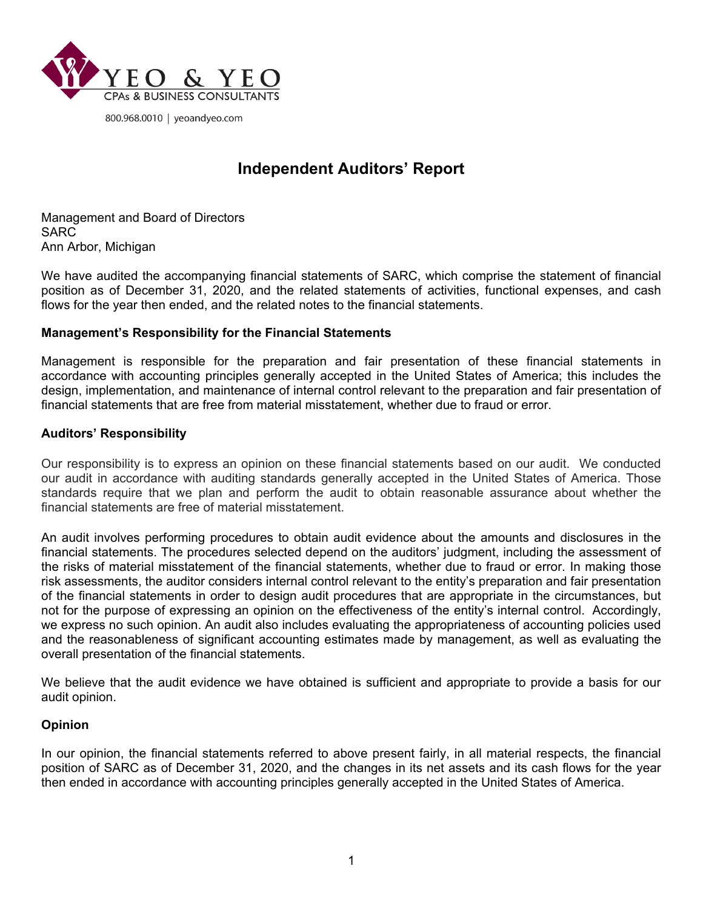

# **Independent Auditors' Report**

Management and Board of Directors SARC Ann Arbor, Michigan

We have audited the accompanying financial statements of SARC, which comprise the statement of financial position as of December 31, 2020, and the related statements of activities, functional expenses, and cash flows for the year then ended, and the related notes to the financial statements.

### **Management's Responsibility for the Financial Statements**

Management is responsible for the preparation and fair presentation of these financial statements in accordance with accounting principles generally accepted in the United States of America; this includes the design, implementation, and maintenance of internal control relevant to the preparation and fair presentation of financial statements that are free from material misstatement, whether due to fraud or error.

### **Auditors' Responsibility**

Our responsibility is to express an opinion on these financial statements based on our audit. We conducted our audit in accordance with auditing standards generally accepted in the United States of America. Those standards require that we plan and perform the audit to obtain reasonable assurance about whether the financial statements are free of material misstatement.

An audit involves performing procedures to obtain audit evidence about the amounts and disclosures in the financial statements. The procedures selected depend on the auditors' judgment, including the assessment of the risks of material misstatement of the financial statements, whether due to fraud or error. In making those risk assessments, the auditor considers internal control relevant to the entity's preparation and fair presentation of the financial statements in order to design audit procedures that are appropriate in the circumstances, but not for the purpose of expressing an opinion on the effectiveness of the entity's internal control. Accordingly, we express no such opinion. An audit also includes evaluating the appropriateness of accounting policies used and the reasonableness of significant accounting estimates made by management, as well as evaluating the overall presentation of the financial statements.

We believe that the audit evidence we have obtained is sufficient and appropriate to provide a basis for our audit opinion.

#### **Opinion**

In our opinion, the financial statements referred to above present fairly, in all material respects, the financial position of SARC as of December 31, 2020, and the changes in its net assets and its cash flows for the year then ended in accordance with accounting principles generally accepted in the United States of America.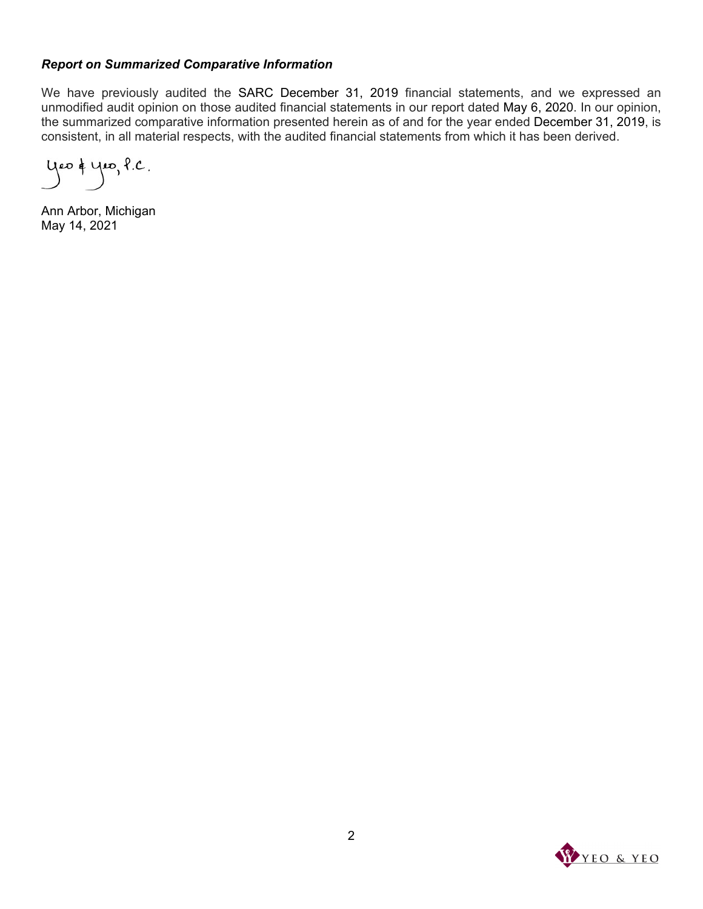### *Report on Summarized Comparative Information*

We have previously audited the SARC December 31, 2019 financial statements, and we expressed an unmodified audit opinion on those audited financial statements in our report dated May 6, 2020. In our opinion, the summarized comparative information presented herein as of and for the year ended December 31, 2019, is consistent, in all material respects, with the audited financial statements from which it has been derived.

yeo & yeo, P.C.

Ann Arbor, Michigan May 14, 2021

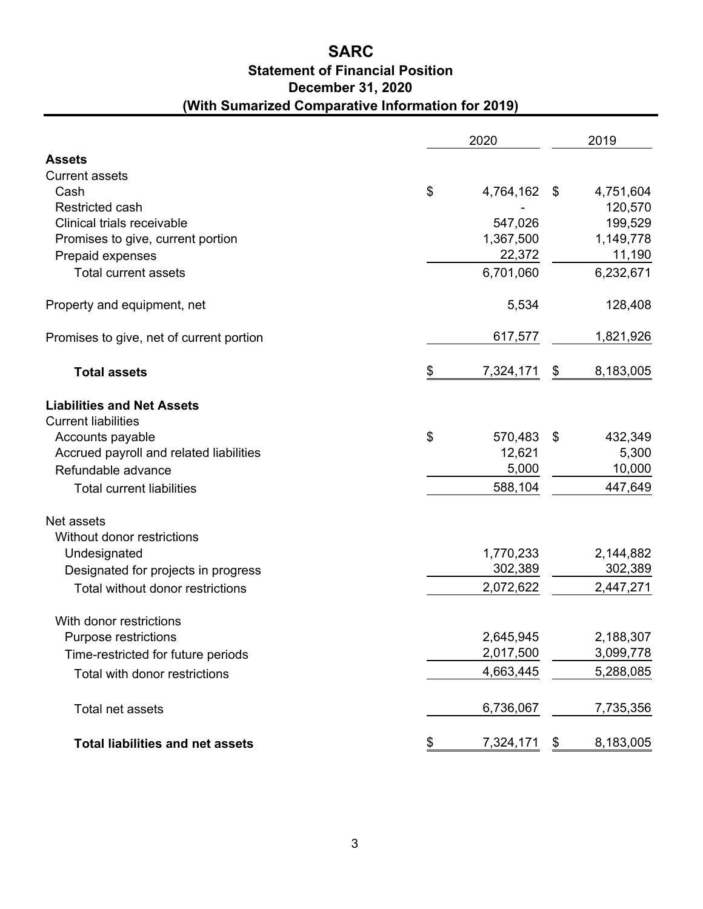## **(With Sumarized Comparative Information for 2019) Statement of Financial Position SARC December 31, 2020**

|                                          | 2020 |           |    | 2019      |  |  |
|------------------------------------------|------|-----------|----|-----------|--|--|
| <b>Assets</b>                            |      |           |    |           |  |  |
| <b>Current assets</b>                    |      |           |    |           |  |  |
| Cash                                     | \$   | 4,764,162 | \$ | 4,751,604 |  |  |
| Restricted cash                          |      |           |    | 120,570   |  |  |
| Clinical trials receivable               |      | 547,026   |    | 199,529   |  |  |
| Promises to give, current portion        |      | 1,367,500 |    | 1,149,778 |  |  |
| Prepaid expenses                         |      | 22,372    |    | 11,190    |  |  |
| <b>Total current assets</b>              |      | 6,701,060 |    | 6,232,671 |  |  |
| Property and equipment, net              |      | 5,534     |    | 128,408   |  |  |
| Promises to give, net of current portion |      | 617,577   |    | 1,821,926 |  |  |
| <b>Total assets</b>                      | \$   | 7,324,171 | \$ | 8,183,005 |  |  |
| <b>Liabilities and Net Assets</b>        |      |           |    |           |  |  |
| <b>Current liabilities</b>               |      |           |    |           |  |  |
| Accounts payable                         | \$   | 570,483   | \$ | 432,349   |  |  |
| Accrued payroll and related liabilities  |      | 12,621    |    | 5,300     |  |  |
| Refundable advance                       |      | 5,000     |    | 10,000    |  |  |
| <b>Total current liabilities</b>         |      | 588,104   |    | 447,649   |  |  |
| Net assets                               |      |           |    |           |  |  |
| Without donor restrictions               |      |           |    |           |  |  |
| Undesignated                             |      | 1,770,233 |    | 2,144,882 |  |  |
| Designated for projects in progress      |      | 302,389   |    | 302,389   |  |  |
| Total without donor restrictions         |      | 2,072,622 |    | 2,447,271 |  |  |
| With donor restrictions                  |      |           |    |           |  |  |
| Purpose restrictions                     |      | 2,645,945 |    | 2,188,307 |  |  |
| Time-restricted for future periods       |      | 2,017,500 |    | 3,099,778 |  |  |
| Total with donor restrictions            |      | 4,663,445 |    | 5,288,085 |  |  |
| <b>Total net assets</b>                  |      | 6,736,067 |    | 7,735,356 |  |  |
| <b>Total liabilities and net assets</b>  | \$   | 7,324,171 |    | 8,183,005 |  |  |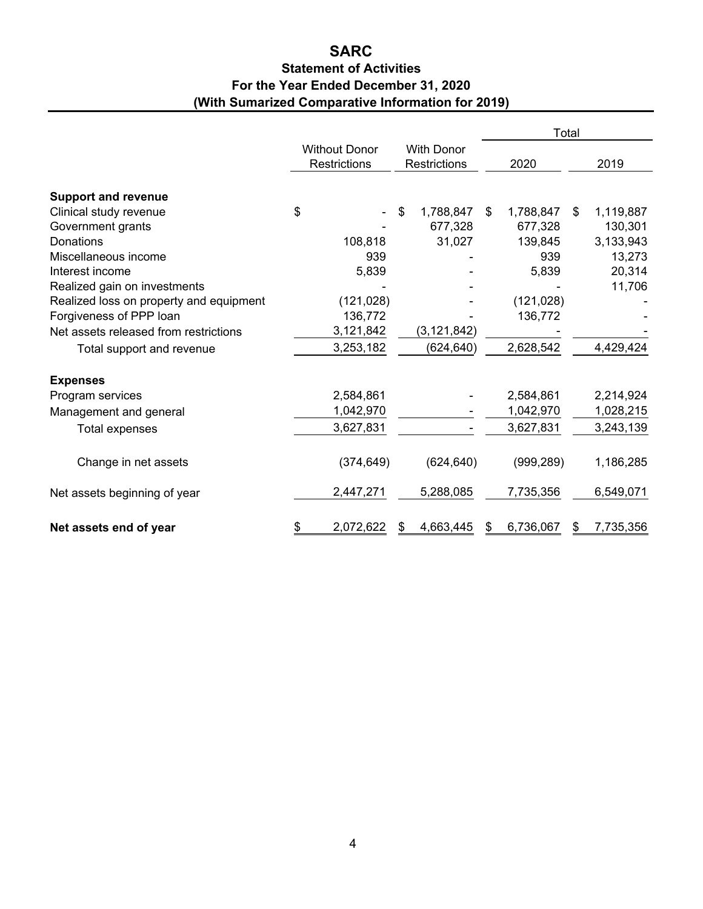### **(With Sumarized Comparative Information for 2019) Statement of Activities SARC For the Year Ended December 31, 2020**

|                                         |                                      |            |                                   | Total         |      |            |      |           |
|-----------------------------------------|--------------------------------------|------------|-----------------------------------|---------------|------|------------|------|-----------|
|                                         | <b>Without Donor</b><br>Restrictions |            | <b>With Donor</b><br>Restrictions |               |      |            |      |           |
|                                         |                                      |            |                                   |               | 2020 |            | 2019 |           |
|                                         |                                      |            |                                   |               |      |            |      |           |
| <b>Support and revenue</b>              |                                      |            |                                   |               |      |            |      |           |
| Clinical study revenue                  | \$                                   |            | \$                                | 1,788,847     | \$   | 1,788,847  | \$.  | 1,119,887 |
| Government grants                       |                                      |            |                                   | 677,328       |      | 677,328    |      | 130,301   |
| Donations                               |                                      | 108,818    |                                   | 31,027        |      | 139,845    |      | 3,133,943 |
| Miscellaneous income                    |                                      | 939        |                                   |               |      | 939        |      | 13,273    |
| Interest income                         |                                      | 5,839      |                                   |               |      | 5,839      |      | 20,314    |
| Realized gain on investments            |                                      |            |                                   |               |      |            |      | 11,706    |
| Realized loss on property and equipment |                                      | (121, 028) |                                   |               |      | (121, 028) |      |           |
| Forgiveness of PPP loan                 |                                      | 136,772    |                                   |               |      | 136,772    |      |           |
| Net assets released from restrictions   |                                      | 3,121,842  |                                   | (3, 121, 842) |      |            |      |           |
| Total support and revenue               |                                      | 3,253,182  |                                   | (624, 640)    |      | 2,628,542  |      | 4,429,424 |
| <b>Expenses</b>                         |                                      |            |                                   |               |      |            |      |           |
| Program services                        |                                      | 2,584,861  |                                   |               |      | 2,584,861  |      | 2,214,924 |
| Management and general                  |                                      | 1,042,970  |                                   |               |      | 1,042,970  |      | 1,028,215 |
| <b>Total expenses</b>                   |                                      | 3,627,831  |                                   |               |      | 3,627,831  |      | 3,243,139 |
| Change in net assets                    |                                      | (374, 649) |                                   | (624, 640)    |      | (999, 289) |      | 1,186,285 |
| Net assets beginning of year            |                                      | 2,447,271  |                                   | 5,288,085     |      | 7,735,356  |      | 6,549,071 |
| Net assets end of year                  | \$                                   | 2,072,622  |                                   | 4,663,445     | S    | 6,736,067  |      | 7,735,356 |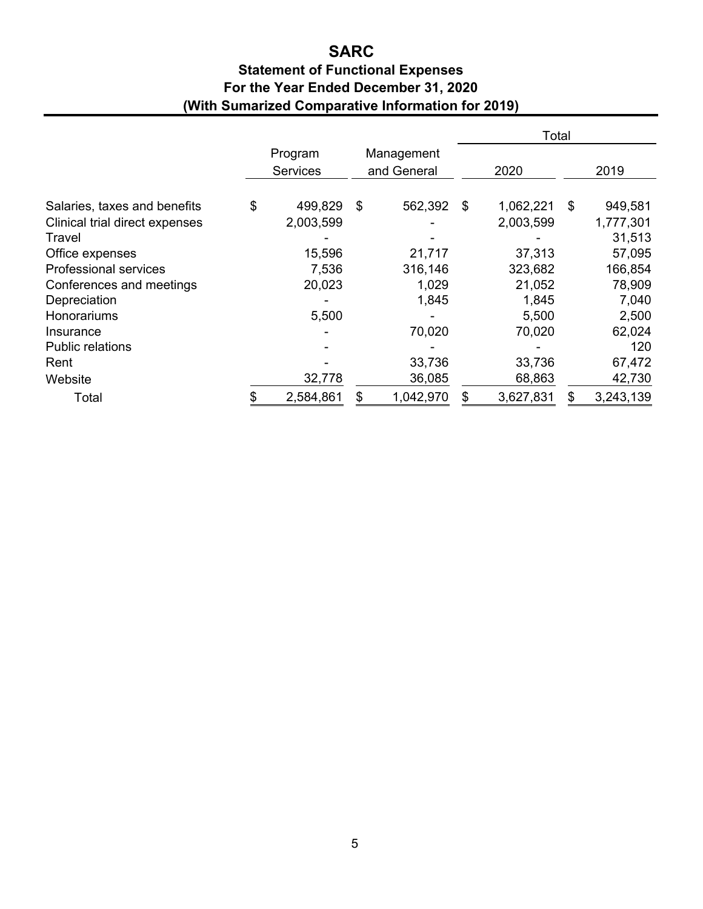# **SARC**

## **(With Sumarized Comparative Information for 2019) Statement of Functional Expenses For the Year Ended December 31, 2020**

|                                |                            |                           |           |      | Total     |      |           |
|--------------------------------|----------------------------|---------------------------|-----------|------|-----------|------|-----------|
|                                | Program<br><b>Services</b> | Management<br>and General |           | 2020 |           | 2019 |           |
|                                |                            |                           |           |      |           |      |           |
| Salaries, taxes and benefits   | \$<br>499,829              | \$                        | 562,392   | \$   | 1,062,221 | \$   | 949,581   |
| Clinical trial direct expenses | 2,003,599                  |                           |           |      | 2,003,599 |      | 1,777,301 |
| Travel                         |                            |                           |           |      |           |      | 31,513    |
| Office expenses                | 15,596                     |                           | 21,717    |      | 37,313    |      | 57,095    |
| <b>Professional services</b>   | 7,536                      |                           | 316,146   |      | 323,682   |      | 166,854   |
| Conferences and meetings       | 20,023                     |                           | 1,029     |      | 21,052    |      | 78,909    |
| Depreciation                   |                            |                           | 1,845     |      | 1,845     |      | 7,040     |
| Honorariums                    | 5,500                      |                           |           |      | 5,500     |      | 2,500     |
| Insurance                      |                            |                           | 70,020    |      | 70,020    |      | 62,024    |
| Public relations               |                            |                           |           |      |           |      | 120       |
| Rent                           |                            |                           | 33,736    |      | 33,736    |      | 67,472    |
| Website                        | 32,778                     |                           | 36,085    |      | 68,863    |      | 42,730    |
| Total                          | 2,584,861                  | \$                        | 1,042,970 | S    | 3,627,831 | \$   | 3,243,139 |